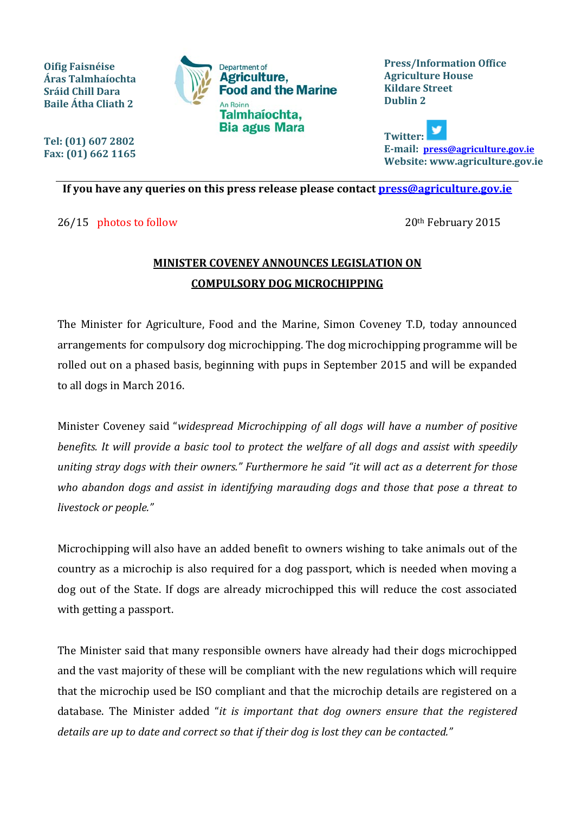

**Press/Information Office Agriculture House Kildare Street Dublin 2**

**Twitter: E-mail: [press@agriculture.gov.ie](mailto:press@agriculture.gov.ie) Website: www.agriculture.gov.ie**

## **If you have any queries on this press release please contact [press@agriculture.gov.ie](mailto:press@agriculture.gov.ie)**

26/15 photos to follow 2015

**Oifig Faisnéise Áras Talmhaíochta Sráid Chill Dara Baile Átha Cliath 2**

**Tel: (01) 607 2802 Fax: (01) 662 1165**

## **MINISTER COVENEY ANNOUNCES LEGISLATION ON COMPULSORY DOG MICROCHIPPING**

The Minister for Agriculture, Food and the Marine, Simon Coveney T.D, today announced arrangements for compulsory dog microchipping. The dog microchipping programme will be rolled out on a phased basis, beginning with pups in September 2015 and will be expanded to all dogs in March 2016.

Minister Coveney said "*widespread Microchipping of all dogs will have a number of positive benefits. It will provide a basic tool to protect the welfare of all dogs and assist with speedily uniting stray dogs with their owners." Furthermore he said "it will act as a deterrent for those who abandon dogs and assist in identifying marauding dogs and those that pose a threat to livestock or people."*

Microchipping will also have an added benefit to owners wishing to take animals out of the country as a microchip is also required for a dog passport, which is needed when moving a dog out of the State. If dogs are already microchipped this will reduce the cost associated with getting a passport.

The Minister said that many responsible owners have already had their dogs microchipped and the vast majority of these will be compliant with the new regulations which will require that the microchip used be ISO compliant and that the microchip details are registered on a database. The Minister added "*it is important that dog owners ensure that the registered details are up to date and correct so that if their dog is lost they can be contacted."*